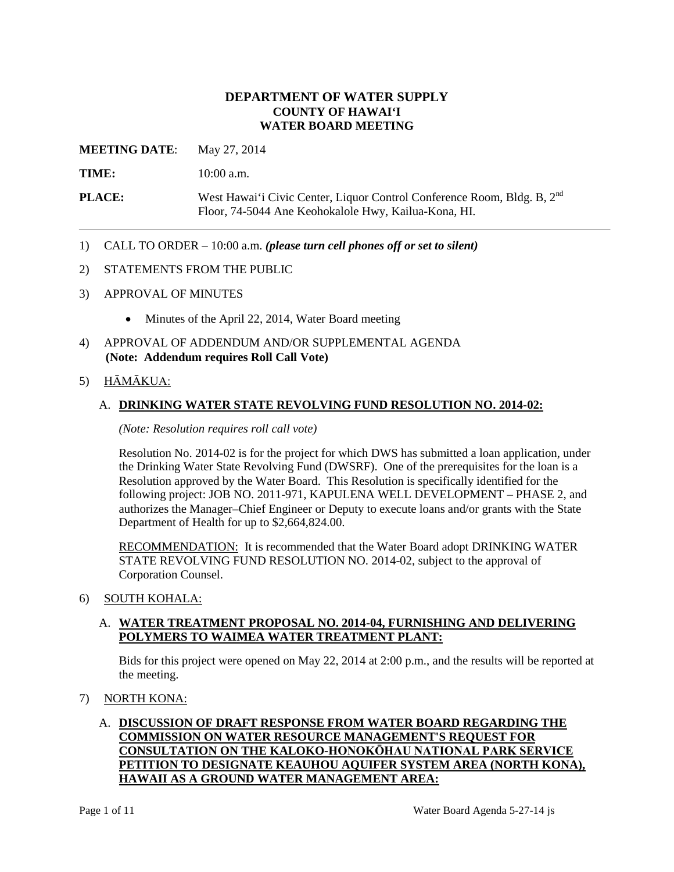# **DEPARTMENT OF WATER SUPPLY COUNTY OF HAWAI'I WATER BOARD MEETING**

**MEETING DATE:** May 27, 2014

**TIME:** 10:00 a.m.

**PLACE:** West Hawai'i Civic Center, Liquor Control Conference Room, Bldg. B, 2<sup>nd</sup> Floor, 74-5044 Ane Keohokalole Hwy, Kailua-Kona, HI.

- 1) CALL TO ORDER 10:00 a.m. *(please turn cell phones off or set to silent)*
- 2) STATEMENTS FROM THE PUBLIC
- 3) APPROVAL OF MINUTES
	- Minutes of the April 22, 2014, Water Board meeting
- 4) APPROVAL OF ADDENDUM AND/OR SUPPLEMENTAL AGENDA **(Note: Addendum requires Roll Call Vote)**
- 5) HĀMĀKUA:

# A. **DRINKING WATER STATE REVOLVING FUND RESOLUTION NO. 2014-02:**

*(Note: Resolution requires roll call vote)*

Resolution No. 2014-02 is for the project for which DWS has submitted a loan application, under the Drinking Water State Revolving Fund (DWSRF). One of the prerequisites for the loan is a Resolution approved by the Water Board. This Resolution is specifically identified for the following project: JOB NO. 2011-971, KAPULENA WELL DEVELOPMENT – PHASE 2, and authorizes the Manager–Chief Engineer or Deputy to execute loans and/or grants with the State Department of Health for up to \$2,664,824.00.

RECOMMENDATION: It is recommended that the Water Board adopt DRINKING WATER STATE REVOLVING FUND RESOLUTION NO. 2014-02, subject to the approval of Corporation Counsel.

6) SOUTH KOHALA:

## A. **WATER TREATMENT PROPOSAL NO. 2014-04, FURNISHING AND DELIVERING POLYMERS TO WAIMEA WATER TREATMENT PLANT:**

Bids for this project were opened on May 22, 2014 at 2:00 p.m., and the results will be reported at the meeting.

7) NORTH KONA:

# A. **DISCUSSION OF DRAFT RESPONSE FROM WATER BOARD REGARDING THE COMMISSION ON WATER RESOURCE MANAGEMENT'S REQUEST FOR CONSULTATION ON THE KALOKO-HONOKŌHAU NATIONAL PARK SERVICE PETITION TO DESIGNATE KEAUHOU AQUIFER SYSTEM AREA (NORTH KONA), HAWAII AS A GROUND WATER MANAGEMENT AREA:**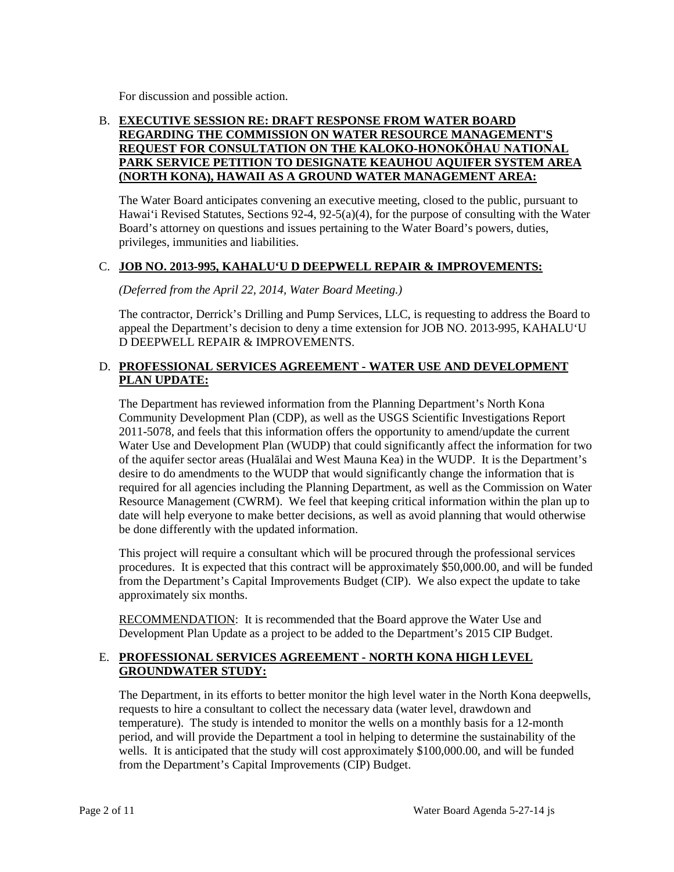For discussion and possible action.

# B. **EXECUTIVE SESSION RE: DRAFT RESPONSE FROM WATER BOARD REGARDING THE COMMISSION ON WATER RESOURCE MANAGEMENT'S REQUEST FOR CONSULTATION ON THE KALOKO-HONOKŌHAU NATIONAL PARK SERVICE PETITION TO DESIGNATE KEAUHOU AQUIFER SYSTEM AREA (NORTH KONA), HAWAII AS A GROUND WATER MANAGEMENT AREA:**

The Water Board anticipates convening an executive meeting, closed to the public, pursuant to Hawai'i Revised Statutes, Sections 92-4, 92-5(a)(4), for the purpose of consulting with the Water Board's attorney on questions and issues pertaining to the Water Board's powers, duties, privileges, immunities and liabilities.

# C. **JOB NO. 2013-995, KAHALU'U D DEEPWELL REPAIR & IMPROVEMENTS:**

*(Deferred from the April 22, 2014, Water Board Meeting.)*

The contractor, Derrick's Drilling and Pump Services, LLC, is requesting to address the Board to appeal the Department's decision to deny a time extension for JOB NO. 2013-995, KAHALU'U D DEEPWELL REPAIR & IMPROVEMENTS.

# D. **PROFESSIONAL SERVICES AGREEMENT - WATER USE AND DEVELOPMENT PLAN UPDATE:**

The Department has reviewed information from the Planning Department's North Kona Community Development Plan (CDP), as well as the USGS Scientific Investigations Report 2011-5078, and feels that this information offers the opportunity to amend/update the current Water Use and Development Plan (WUDP) that could significantly affect the information for two of the aquifer sector areas (Hualālai and West Mauna Kea) in the WUDP. It is the Department's desire to do amendments to the WUDP that would significantly change the information that is required for all agencies including the Planning Department, as well as the Commission on Water Resource Management (CWRM). We feel that keeping critical information within the plan up to date will help everyone to make better decisions, as well as avoid planning that would otherwise be done differently with the updated information.

This project will require a consultant which will be procured through the professional services procedures. It is expected that this contract will be approximately \$50,000.00, and will be funded from the Department's Capital Improvements Budget (CIP). We also expect the update to take approximately six months.

RECOMMENDATION: It is recommended that the Board approve the Water Use and Development Plan Update as a project to be added to the Department's 2015 CIP Budget.

# E. **PROFESSIONAL SERVICES AGREEMENT - NORTH KONA HIGH LEVEL GROUNDWATER STUDY:**

The Department, in its efforts to better monitor the high level water in the North Kona deepwells, requests to hire a consultant to collect the necessary data (water level, drawdown and temperature). The study is intended to monitor the wells on a monthly basis for a 12-month period, and will provide the Department a tool in helping to determine the sustainability of the wells. It is anticipated that the study will cost approximately \$100,000.00, and will be funded from the Department's Capital Improvements (CIP) Budget.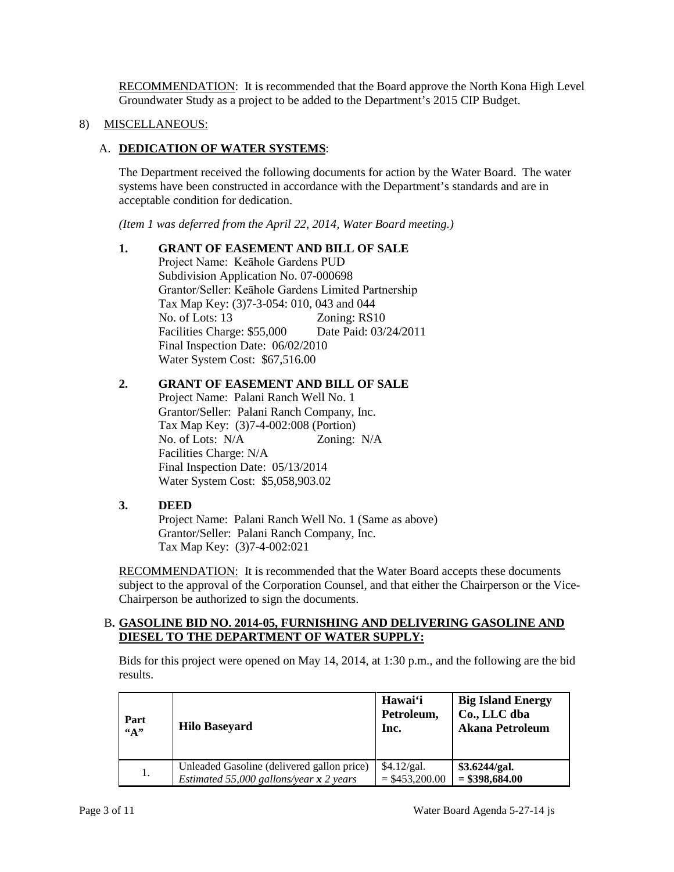RECOMMENDATION: It is recommended that the Board approve the North Kona High Level Groundwater Study as a project to be added to the Department's 2015 CIP Budget.

# 8) MISCELLANEOUS:

# A. **DEDICATION OF WATER SYSTEMS**:

The Department received the following documents for action by the Water Board. The water systems have been constructed in accordance with the Department's standards and are in acceptable condition for dedication.

*(Item 1 was deferred from the April 22, 2014, Water Board meeting.)*

## **1. GRANT OF EASEMENT AND BILL OF SALE**

Project Name: Keāhole Gardens PUD Subdivision Application No. 07-000698 Grantor/Seller: Keāhole Gardens Limited Partnership Tax Map Key: (3)7-3-054: 010, 043 and 044 No. of Lots: 13 Zoning: RS10 Facilities Charge: \$55,000 Date Paid: 03/24/2011 Final Inspection Date: 06/02/2010 Water System Cost: \$67,516.00

## **2. GRANT OF EASEMENT AND BILL OF SALE**

Project Name: Palani Ranch Well No. 1 Grantor/Seller: Palani Ranch Company, Inc. Tax Map Key: (3)7-4-002:008 (Portion) No. of Lots: N/A Zoning: N/A Facilities Charge: N/A Final Inspection Date: 05/13/2014 Water System Cost: \$5,058,903.02

## **3. DEED**

Project Name: Palani Ranch Well No. 1 (Same as above) Grantor/Seller: Palani Ranch Company, Inc. Tax Map Key: (3)7-4-002:021

RECOMMENDATION: It is recommended that the Water Board accepts these documents subject to the approval of the Corporation Counsel, and that either the Chairperson or the Vice-Chairperson be authorized to sign the documents.

#### B**. GASOLINE BID NO. 2014-05, FURNISHING AND DELIVERING GASOLINE AND DIESEL TO THE DEPARTMENT OF WATER SUPPLY:**

Bids for this project were opened on May 14, 2014, at 1:30 p.m., and the following are the bid results.

| Part                 |                                            | Hawai'i          | <b>Big Island Energy</b> |
|----------------------|--------------------------------------------|------------------|--------------------------|
| <b>Hilo Baseyard</b> |                                            | Petroleum,       | Co., LLC dba             |
| $\mathfrak{a}_{A}$ " |                                            | Inc.             | <b>Akana Petroleum</b>   |
| 1.                   | Unleaded Gasoline (delivered gallon price) | \$4.12/gal.      | \$3.6244/gal.            |
|                      | Estimated 55,000 gallons/year $x$ 2 years  | $=$ \$453,200.00 | $= $398,684.00$          |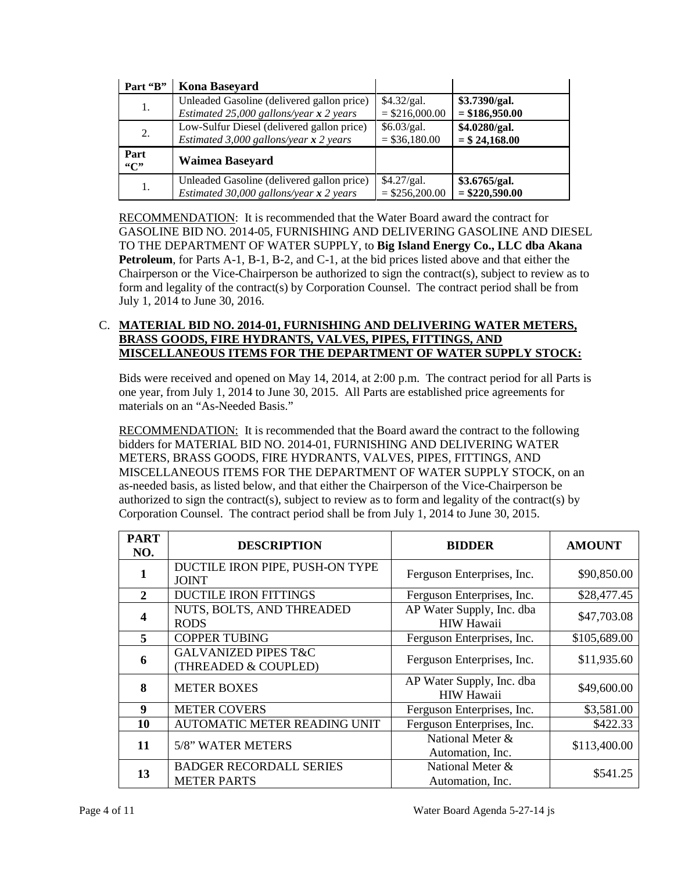| Part "B"    | <b>Kona Baseyard</b>                       |                  |                  |
|-------------|--------------------------------------------|------------------|------------------|
| 1.          | Unleaded Gasoline (delivered gallon price) | \$4.32/gal.      | \$3.7390/gal.    |
|             | Estimated 25,000 gallons/year $x$ 2 years  | $=$ \$216,000.00 | $= $186,950.00$  |
|             | Low-Sulfur Diesel (delivered gallon price) | \$6.03/gal.      | \$4.0280/gal.    |
| 2.          | Estimated 3,000 gallons/year $x$ 2 years   | $= $36,180.00$   | $= $24,168.00$   |
| Part<br>"C" | <b>Waimea Baseyard</b>                     |                  |                  |
| 1.          | Unleaded Gasoline (delivered gallon price) | \$4.27/gal.      | \$3.6765/gal.    |
|             | Estimated 30,000 gallons/year $x$ 2 years  | $=$ \$256,200.00 | $=$ \$220,590.00 |

RECOMMENDATION: It is recommended that the Water Board award the contract for GASOLINE BID NO. 2014-05, FURNISHING AND DELIVERING GASOLINE AND DIESEL TO THE DEPARTMENT OF WATER SUPPLY, to **Big Island Energy Co., LLC dba Akana Petroleum**, for Parts A-1, B-1, B-2, and C-1, at the bid prices listed above and that either the Chairperson or the Vice-Chairperson be authorized to sign the contract(s), subject to review as to form and legality of the contract(s) by Corporation Counsel. The contract period shall be from July 1, 2014 to June 30, 2016.

# C. **MATERIAL BID NO. 2014-01, FURNISHING AND DELIVERING WATER METERS, BRASS GOODS, FIRE HYDRANTS, VALVES, PIPES, FITTINGS, AND MISCELLANEOUS ITEMS FOR THE DEPARTMENT OF WATER SUPPLY STOCK:**

Bids were received and opened on May 14, 2014, at 2:00 p.m. The contract period for all Parts is one year, from July 1, 2014 to June 30, 2015. All Parts are established price agreements for materials on an "As-Needed Basis."

RECOMMENDATION: It is recommended that the Board award the contract to the following bidders for MATERIAL BID NO. 2014-01, FURNISHING AND DELIVERING WATER METERS, BRASS GOODS, FIRE HYDRANTS, VALVES, PIPES, FITTINGS, AND MISCELLANEOUS ITEMS FOR THE DEPARTMENT OF WATER SUPPLY STOCK, on an as-needed basis, as listed below, and that either the Chairperson of the Vice-Chairperson be authorized to sign the contract(s), subject to review as to form and legality of the contract(s) by Corporation Counsel. The contract period shall be from July 1, 2014 to June 30, 2015.

| <b>PART</b><br>NO. | <b>DESCRIPTION</b>                                      | <b>BIDDER</b>                                  | <b>AMOUNT</b> |
|--------------------|---------------------------------------------------------|------------------------------------------------|---------------|
|                    | DUCTILE IRON PIPE, PUSH-ON TYPE<br><b>JOINT</b>         | Ferguson Enterprises, Inc.                     | \$90,850.00   |
| $\mathbf{2}$       | <b>DUCTILE IRON FITTINGS</b>                            | Ferguson Enterprises, Inc.                     | \$28,477.45   |
| 4                  | NUTS, BOLTS, AND THREADED<br><b>RODS</b>                | AP Water Supply, Inc. dba<br><b>HIW Hawaii</b> | \$47,703.08   |
| 5                  | <b>COPPER TUBING</b>                                    | Ferguson Enterprises, Inc.                     | \$105,689.00  |
| 6                  | <b>GALVANIZED PIPES T&amp;C</b><br>(THREADED & COUPLED) | Ferguson Enterprises, Inc.                     | \$11,935.60   |
| 8                  | <b>METER BOXES</b>                                      | AP Water Supply, Inc. dba<br><b>HIW Hawaii</b> | \$49,600.00   |
| 9                  | <b>METER COVERS</b>                                     | Ferguson Enterprises, Inc.                     | \$3,581.00    |
| 10                 | AUTOMATIC METER READING UNIT                            | Ferguson Enterprises, Inc.                     | \$422.33      |
| 11                 | 5/8" WATER METERS                                       | National Meter &<br>Automation, Inc.           | \$113,400.00  |
| 13                 | <b>BADGER RECORDALL SERIES</b><br><b>METER PARTS</b>    | National Meter &<br>Automation, Inc.           | \$541.25      |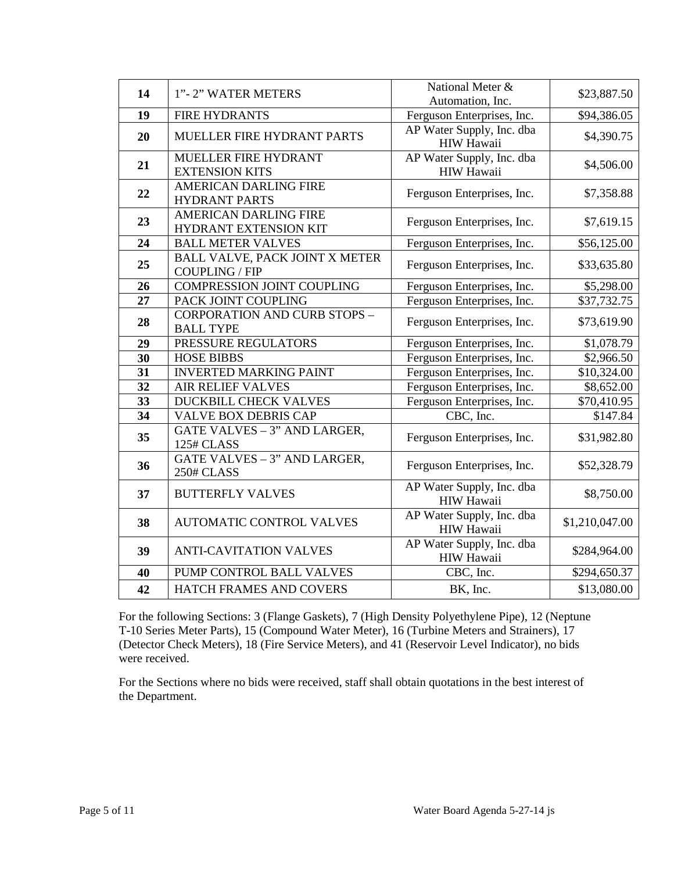| 14 | 1"-2" WATER METERS                                      | National Meter &<br>Automation, Inc.           | \$23,887.50    |
|----|---------------------------------------------------------|------------------------------------------------|----------------|
| 19 | <b>FIRE HYDRANTS</b>                                    | Ferguson Enterprises, Inc.                     | \$94,386.05    |
| 20 | MUELLER FIRE HYDRANT PARTS                              | AP Water Supply, Inc. dba<br>HIW Hawaii        | \$4,390.75     |
| 21 | MUELLER FIRE HYDRANT<br><b>EXTENSION KITS</b>           | AP Water Supply, Inc. dba<br><b>HIW Hawaii</b> | \$4,506.00     |
| 22 | <b>AMERICAN DARLING FIRE</b><br><b>HYDRANT PARTS</b>    | Ferguson Enterprises, Inc.                     | \$7,358.88     |
| 23 | <b>AMERICAN DARLING FIRE</b><br>HYDRANT EXTENSION KIT   | Ferguson Enterprises, Inc.                     | \$7,619.15     |
| 24 | <b>BALL METER VALVES</b>                                | Ferguson Enterprises, Inc.                     | \$56,125.00    |
| 25 | <b>BALL VALVE, PACK JOINT X METER</b><br>COUPLING / FIP | Ferguson Enterprises, Inc.                     | \$33,635.80    |
| 26 | <b>COMPRESSION JOINT COUPLING</b>                       | Ferguson Enterprises, Inc.                     | \$5,298.00     |
| 27 | PACK JOINT COUPLING                                     | Ferguson Enterprises, Inc.                     | \$37,732.75    |
| 28 | <b>CORPORATION AND CURB STOPS -</b><br><b>BALL TYPE</b> | Ferguson Enterprises, Inc.                     | \$73,619.90    |
| 29 | PRESSURE REGULATORS                                     | Ferguson Enterprises, Inc.                     | \$1,078.79     |
| 30 | <b>HOSE BIBBS</b>                                       | Ferguson Enterprises, Inc.                     | \$2,966.50     |
| 31 | <b>INVERTED MARKING PAINT</b>                           | Ferguson Enterprises, Inc.                     | \$10,324.00    |
| 32 | <b>AIR RELIEF VALVES</b>                                | Ferguson Enterprises, Inc.                     | \$8,652.00     |
| 33 | DUCKBILL CHECK VALVES                                   | Ferguson Enterprises, Inc.                     | \$70,410.95    |
| 34 | <b>VALVE BOX DEBRIS CAP</b>                             | CBC, Inc.                                      | \$147.84       |
| 35 | <b>GATE VALVES - 3" AND LARGER,</b><br>125# CLASS       | Ferguson Enterprises, Inc.                     | \$31,982.80    |
| 36 | GATE VALVES - 3" AND LARGER,<br>250# CLASS              | Ferguson Enterprises, Inc.                     | \$52,328.79    |
| 37 | <b>BUTTERFLY VALVES</b>                                 | AP Water Supply, Inc. dba<br><b>HIW Hawaii</b> | \$8,750.00     |
| 38 | <b>AUTOMATIC CONTROL VALVES</b>                         | AP Water Supply, Inc. dba<br><b>HIW Hawaii</b> | \$1,210,047.00 |
| 39 | <b>ANTI-CAVITATION VALVES</b>                           | AP Water Supply, Inc. dba<br>HIW Hawaii        | \$284,964.00   |
| 40 | PUMP CONTROL BALL VALVES                                | CBC, Inc.                                      | \$294,650.37   |
| 42 | HATCH FRAMES AND COVERS                                 | BK, Inc.                                       | \$13,080.00    |

For the following Sections: 3 (Flange Gaskets), 7 (High Density Polyethylene Pipe), 12 (Neptune T-10 Series Meter Parts), 15 (Compound Water Meter), 16 (Turbine Meters and Strainers), 17 (Detector Check Meters), 18 (Fire Service Meters), and 41 (Reservoir Level Indicator), no bids were received.

For the Sections where no bids were received, staff shall obtain quotations in the best interest of the Department.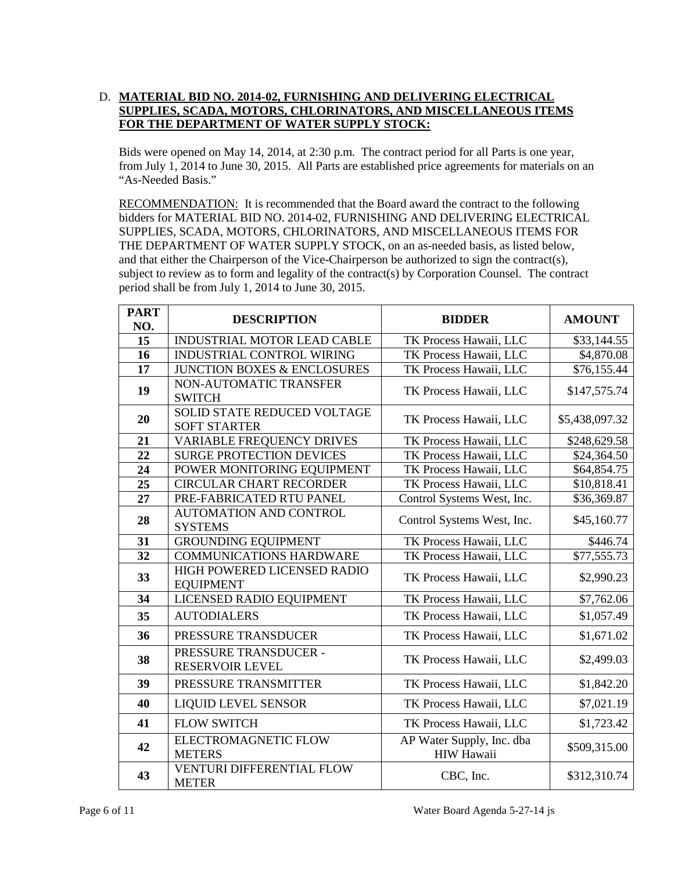# D. **MATERIAL BID NO. 2014-02, FURNISHING AND DELIVERING ELECTRICAL SUPPLIES, SCADA, MOTORS, CHLORINATORS, AND MISCELLANEOUS ITEMS FOR THE DEPARTMENT OF WATER SUPPLY STOCK:**

Bids were opened on May 14, 2014, at 2:30 p.m. The contract period for all Parts is one year, from July 1, 2014 to June 30, 2015. All Parts are established price agreements for materials on an "As-Needed Basis."

RECOMMENDATION: It is recommended that the Board award the contract to the following bidders for MATERIAL BID NO. 2014-02, FURNISHING AND DELIVERING ELECTRICAL SUPPLIES, SCADA, MOTORS, CHLORINATORS, AND MISCELLANEOUS ITEMS FOR THE DEPARTMENT OF WATER SUPPLY STOCK, on an as-needed basis, as listed below, and that either the Chairperson of the Vice-Chairperson be authorized to sign the contract(s), subject to review as to form and legality of the contract(s) by Corporation Counsel. The contract period shall be from July 1, 2014 to June 30, 2015.

| <b>PART</b> | <b>DESCRIPTION</b><br><b>BIDDER</b>                       |                                                | <b>AMOUNT</b>  |  |
|-------------|-----------------------------------------------------------|------------------------------------------------|----------------|--|
| NO.         |                                                           |                                                |                |  |
| 15          | <b>INDUSTRIAL MOTOR LEAD CABLE</b>                        | TK Process Hawaii, LLC                         | \$33,144.55    |  |
| 16          | INDUSTRIAL CONTROL WIRING                                 | TK Process Hawaii, LLC                         | \$4,870.08     |  |
| 17          | <b>JUNCTION BOXES &amp; ENCLOSURES</b>                    | TK Process Hawaii, LLC                         | \$76,155.44    |  |
| 19          | NON-AUTOMATIC TRANSFER<br><b>SWITCH</b>                   | TK Process Hawaii, LLC                         | \$147,575.74   |  |
| 20          | <b>SOLID STATE REDUCED VOLTAGE</b><br><b>SOFT STARTER</b> | TK Process Hawaii, LLC                         | \$5,438,097.32 |  |
| 21          | VARIABLE FREQUENCY DRIVES                                 | TK Process Hawaii, LLC                         | \$248,629.58   |  |
| 22          | <b>SURGE PROTECTION DEVICES</b>                           | TK Process Hawaii, LLC                         | \$24,364.50    |  |
| 24          | POWER MONITORING EQUIPMENT                                | TK Process Hawaii, LLC                         | \$64,854.75    |  |
| 25          | <b>CIRCULAR CHART RECORDER</b>                            | TK Process Hawaii, LLC                         | \$10,818.41    |  |
| 27          | PRE-FABRICATED RTU PANEL                                  | Control Systems West, Inc.                     | \$36,369.87    |  |
| 28          | <b>AUTOMATION AND CONTROL</b><br><b>SYSTEMS</b>           | Control Systems West, Inc.                     | \$45,160.77    |  |
| 31          | <b>GROUNDING EQUIPMENT</b>                                | TK Process Hawaii, LLC                         | \$446.74       |  |
| 32          | <b>COMMUNICATIONS HARDWARE</b>                            | TK Process Hawaii, LLC                         | \$77,555.73    |  |
| 33          | HIGH POWERED LICENSED RADIO<br><b>EQUIPMENT</b>           | TK Process Hawaii, LLC                         | \$2,990.23     |  |
| 34          | LICENSED RADIO EQUIPMENT                                  | TK Process Hawaii, LLC                         | \$7,762.06     |  |
| 35          | <b>AUTODIALERS</b>                                        | TK Process Hawaii, LLC                         | \$1,057.49     |  |
| 36          | PRESSURE TRANSDUCER                                       | TK Process Hawaii, LLC                         | \$1,671.02     |  |
| 38          | PRESSURE TRANSDUCER -<br><b>RESERVOIR LEVEL</b>           | TK Process Hawaii, LLC                         | \$2,499.03     |  |
| 39          | PRESSURE TRANSMITTER                                      | TK Process Hawaii, LLC                         | \$1,842.20     |  |
| 40          | <b>LIQUID LEVEL SENSOR</b>                                | TK Process Hawaii, LLC                         | \$7,021.19     |  |
| 41          | <b>FLOW SWITCH</b>                                        | TK Process Hawaii, LLC                         | \$1,723.42     |  |
| 42          | ELECTROMAGNETIC FLOW<br><b>METERS</b>                     | AP Water Supply, Inc. dba<br><b>HIW Hawaii</b> | \$509,315.00   |  |
| 43          | <b>VENTURI DIFFERENTIAL FLOW</b><br><b>METER</b>          | CBC, Inc.                                      | \$312,310.74   |  |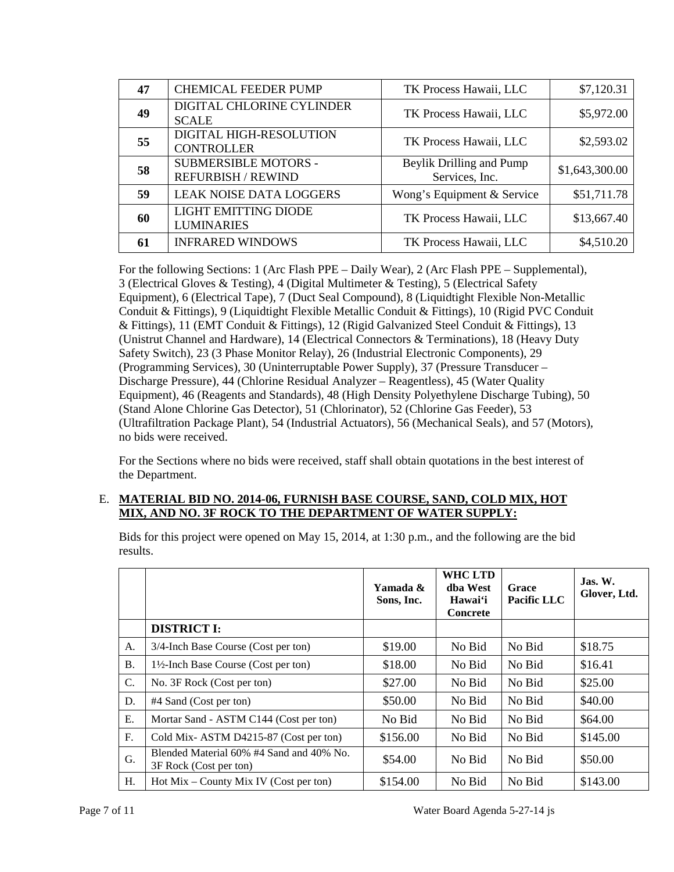| 47 | <b>CHEMICAL FEEDER PUMP</b>                              | TK Process Hawaii, LLC                     | \$7,120.31     |
|----|----------------------------------------------------------|--------------------------------------------|----------------|
| 49 | DIGITAL CHLORINE CYLINDER<br><b>SCALE</b>                | TK Process Hawaii, LLC                     | \$5,972.00     |
| 55 | DIGITAL HIGH-RESOLUTION<br><b>CONTROLLER</b>             | TK Process Hawaii, LLC                     | \$2,593.02     |
| 58 | <b>SUBMERSIBLE MOTORS -</b><br><b>REFURBISH / REWIND</b> | Beylik Drilling and Pump<br>Services, Inc. | \$1,643,300.00 |
| 59 | <b>LEAK NOISE DATA LOGGERS</b>                           | Wong's Equipment & Service                 | \$51,711.78    |
| 60 | <b>LIGHT EMITTING DIODE</b><br><b>LUMINARIES</b>         | TK Process Hawaii, LLC                     | \$13,667.40    |
| 61 | <b>INFRARED WINDOWS</b>                                  | TK Process Hawaii, LLC                     | \$4,510.20     |

For the following Sections: 1 (Arc Flash PPE – Daily Wear), 2 (Arc Flash PPE – Supplemental), 3 (Electrical Gloves & Testing), 4 (Digital Multimeter & Testing), 5 (Electrical Safety Equipment), 6 (Electrical Tape), 7 (Duct Seal Compound), 8 (Liquidtight Flexible Non-Metallic Conduit & Fittings), 9 (Liquidtight Flexible Metallic Conduit & Fittings), 10 (Rigid PVC Conduit & Fittings), 11 (EMT Conduit & Fittings), 12 (Rigid Galvanized Steel Conduit & Fittings), 13 (Unistrut Channel and Hardware), 14 (Electrical Connectors & Terminations), 18 (Heavy Duty Safety Switch), 23 (3 Phase Monitor Relay), 26 (Industrial Electronic Components), 29 (Programming Services), 30 (Uninterruptable Power Supply), 37 (Pressure Transducer – Discharge Pressure), 44 (Chlorine Residual Analyzer – Reagentless), 45 (Water Quality Equipment), 46 (Reagents and Standards), 48 (High Density Polyethylene Discharge Tubing), 50 (Stand Alone Chlorine Gas Detector), 51 (Chlorinator), 52 (Chlorine Gas Feeder), 53 (Ultrafiltration Package Plant), 54 (Industrial Actuators), 56 (Mechanical Seals), and 57 (Motors), no bids were received.

For the Sections where no bids were received, staff shall obtain quotations in the best interest of the Department.

## E. **MATERIAL BID NO. 2014-06, FURNISH BASE COURSE, SAND, COLD MIX, HOT MIX, AND NO. 3F ROCK TO THE DEPARTMENT OF WATER SUPPLY:**

Bids for this project were opened on May 15, 2014, at 1:30 p.m., and the following are the bid results.

|                 |                                                                    | Yamada &<br>Sons, Inc. | <b>WHC LTD</b><br>dba West<br>Hawai'i<br><b>Concrete</b> | Grace<br>Pacific LLC | Jas. W.<br>Glover, Ltd. |
|-----------------|--------------------------------------------------------------------|------------------------|----------------------------------------------------------|----------------------|-------------------------|
|                 | <b>DISTRICT I:</b>                                                 |                        |                                                          |                      |                         |
| A.              | 3/4-Inch Base Course (Cost per ton)                                | \$19.00                | No Bid                                                   | No Bid               | \$18.75                 |
| <b>B.</b>       | 1½-Inch Base Course (Cost per ton)                                 | \$18.00                | No Bid                                                   | No Bid               | \$16.41                 |
| $\mathcal{C}$ . | No. 3F Rock (Cost per ton)                                         | \$27.00                | No Bid                                                   | No Bid               | \$25.00                 |
| D.              | #4 Sand (Cost per ton)                                             | \$50.00                | No Bid                                                   | No Bid               | \$40.00                 |
| E.              | Mortar Sand - ASTM C144 (Cost per ton)                             | No Bid                 | No Bid                                                   | No Bid               | \$64.00                 |
| $F_{\cdot}$     | Cold Mix-ASTM D4215-87 (Cost per ton)                              | \$156.00               | No Bid                                                   | No Bid               | \$145.00                |
| G.              | Blended Material 60% #4 Sand and 40% No.<br>3F Rock (Cost per ton) | \$54.00                | No Bid                                                   | No Bid               | \$50.00                 |
| H.              | $Hot Mix - County Mix IV (Cost per ton)$                           | \$154.00               | No Bid                                                   | No Bid               | \$143.00                |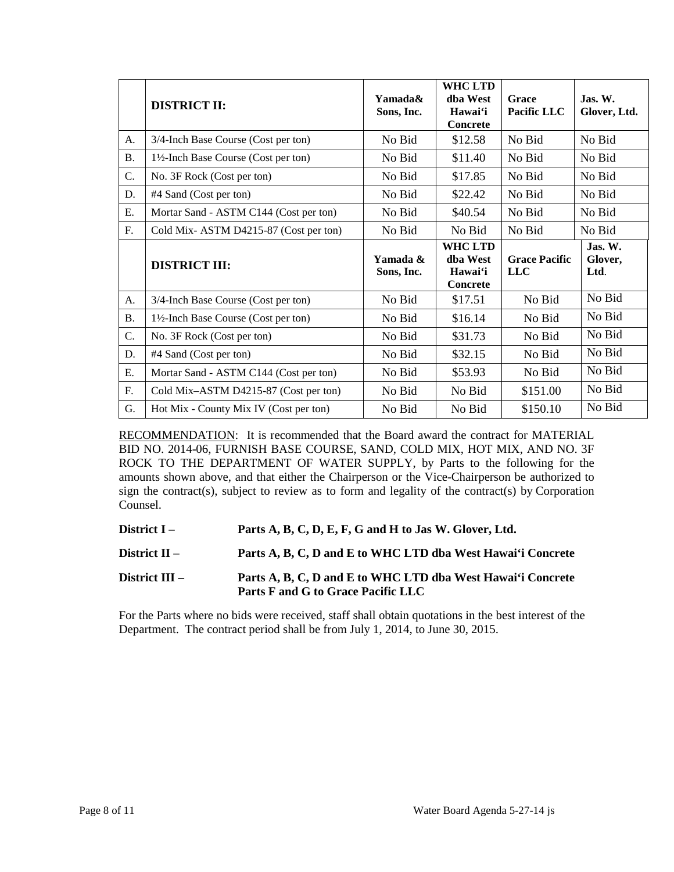|           | <b>DISTRICT II:</b>                    | Yamada&<br>Sons, Inc.  | <b>WHC LTD</b><br>dba West<br>Hawai'i<br><b>Concrete</b> | Grace<br>Pacific LLC               | $\mathbf{J}$ as. W.<br>Glover, Ltd. |
|-----------|----------------------------------------|------------------------|----------------------------------------------------------|------------------------------------|-------------------------------------|
| A.        | 3/4-Inch Base Course (Cost per ton)    | No Bid                 | \$12.58                                                  | No Bid                             | No Bid                              |
| <b>B.</b> | 1½-Inch Base Course (Cost per ton)     | No Bid                 | \$11.40                                                  | No Bid                             | No Bid                              |
| C.        | No. 3F Rock (Cost per ton)             | No Bid                 | \$17.85                                                  | No Bid                             | No Bid                              |
| D.        | #4 Sand (Cost per ton)                 | No Bid                 | \$22.42                                                  | No Bid                             | No Bid                              |
| Ε.        | Mortar Sand - ASTM C144 (Cost per ton) | No Bid                 | \$40.54                                                  | No Bid                             | No Bid                              |
| F.        | Cold Mix-ASTM D4215-87 (Cost per ton)  | No Bid                 | No Bid                                                   | No Bid                             | No Bid                              |
|           | <b>DISTRICT III:</b>                   | Yamada &<br>Sons, Inc. | <b>WHC LTD</b><br>dha West<br>Hawai'i<br>Concrete        | <b>Grace Pacific</b><br><b>LLC</b> | Jas. W.<br>Glover,<br>Ltd.          |
| A.        | 3/4-Inch Base Course (Cost per ton)    | No Bid                 | \$17.51                                                  | No Bid                             | No Bid                              |
| <b>B.</b> | 1½-Inch Base Course (Cost per ton)     | No Bid                 | \$16.14                                                  | No Bid                             | No Bid                              |
| C.        | No. 3F Rock (Cost per ton)             | No Bid                 | \$31.73                                                  | No Bid                             | No Bid                              |
| D.        | #4 Sand (Cost per ton)                 | No Bid                 | \$32.15                                                  | No Bid                             | No Bid                              |
| Ε.        | Mortar Sand - ASTM C144 (Cost per ton) | No Bid                 | \$53.93                                                  | No Bid                             | No Bid                              |
| F.        | Cold Mix-ASTM D4215-87 (Cost per ton)  | No Bid                 | No Bid                                                   | \$151.00                           | No Bid                              |
| G.        | Hot Mix - County Mix IV (Cost per ton) | No Bid                 | No Bid                                                   | \$150.10                           | No Bid                              |

RECOMMENDATION: It is recommended that the Board award the contract for MATERIAL BID NO. 2014-06, FURNISH BASE COURSE, SAND, COLD MIX, HOT MIX, AND NO. 3F ROCK TO THE DEPARTMENT OF WATER SUPPLY, by Parts to the following for the amounts shown above, and that either the Chairperson or the Vice-Chairperson be authorized to sign the contract(s), subject to review as to form and legality of the contract(s) by Corporation Counsel.

**District I** – **Parts A, B, C, D, E, F, G and H to Jas W. Glover, Ltd.**

**District II** – **Parts A, B, C, D and E to WHC LTD dba West Hawai'i Concrete**

**District III – Parts A, B, C, D and E to WHC LTD dba West Hawai'i Concrete Parts F and G to Grace Pacific LLC**

For the Parts where no bids were received, staff shall obtain quotations in the best interest of the Department. The contract period shall be from July 1, 2014, to June 30, 2015.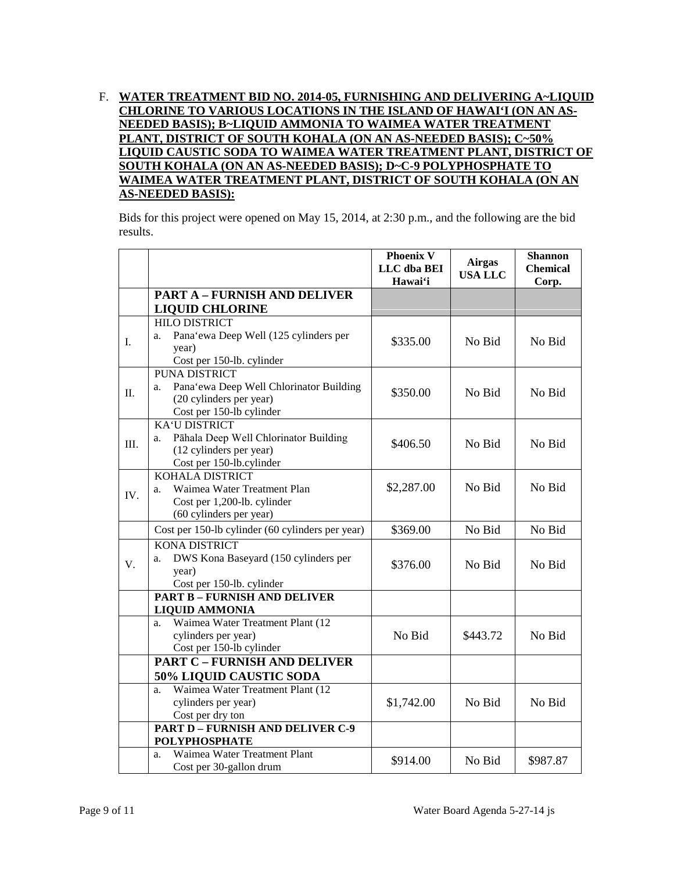# F. **WATER TREATMENT BID NO. 2014-05, FURNISHING AND DELIVERING A~LIQUID CHLORINE TO VARIOUS LOCATIONS IN THE ISLAND OF HAWAI'I (ON AN AS-NEEDED BASIS); B~LIQUID AMMONIA TO WAIMEA WATER TREATMENT PLANT, DISTRICT OF SOUTH KOHALA (ON AN AS-NEEDED BASIS); C~50% LIQUID CAUSTIC SODA TO WAIMEA WATER TREATMENT PLANT, DISTRICT OF SOUTH KOHALA (ON AN AS-NEEDED BASIS); D~C-9 POLYPHOSPHATE TO WAIMEA WATER TREATMENT PLANT, DISTRICT OF SOUTH KOHALA (ON AN AS-NEEDED BASIS):**

Bids for this project were opened on May 15, 2014, at 2:30 p.m., and the following are the bid results.

|     |                                                                                                                              | <b>Phoenix V</b><br>LLC dba BEI<br>Hawai'i | <b>Airgas</b><br><b>USA LLC</b> | <b>Shannon</b><br><b>Chemical</b><br>Corp. |
|-----|------------------------------------------------------------------------------------------------------------------------------|--------------------------------------------|---------------------------------|--------------------------------------------|
|     | <b>PART A - FURNISH AND DELIVER</b><br><b>LIQUID CHLORINE</b>                                                                |                                            |                                 |                                            |
| I.  | <b>HILO DISTRICT</b><br>Pana'ewa Deep Well (125 cylinders per<br>a.<br>year)<br>Cost per 150-lb. cylinder                    | \$335.00                                   | No Bid                          | No Bid                                     |
| Π.  | <b>PUNA DISTRICT</b><br>Pana'ewa Deep Well Chlorinator Building<br>a.<br>(20 cylinders per year)<br>Cost per 150-lb cylinder | \$350.00                                   | No Bid                          | No Bid                                     |
| Ш.  | <b>KA'U DISTRICT</b><br>Pāhala Deep Well Chlorinator Building<br>a.<br>(12 cylinders per year)<br>Cost per 150-lb.cylinder   | \$406.50                                   | No Bid                          | No Bid                                     |
| IV. | <b>KOHALA DISTRICT</b><br>Waimea Water Treatment Plan<br>a.<br>Cost per 1,200-lb. cylinder<br>(60 cylinders per year)        | \$2,287.00                                 | No Bid                          | No Bid                                     |
|     | Cost per 150-lb cylinder (60 cylinders per year)                                                                             | \$369.00                                   | No Bid                          | No Bid                                     |
| V.  | <b>KONA DISTRICT</b><br>DWS Kona Baseyard (150 cylinders per<br>a.<br>year)<br>Cost per 150-lb. cylinder                     | \$376.00                                   | No Bid                          | No Bid                                     |
|     | <b>PART B - FURNISH AND DELIVER</b>                                                                                          |                                            |                                 |                                            |
|     | <b>LIQUID AMMONIA</b><br>Waimea Water Treatment Plant (12<br>a.<br>cylinders per year)<br>Cost per 150-lb cylinder           | No Bid                                     | \$443.72                        | No Bid                                     |
|     | <b>PART C - FURNISH AND DELIVER</b>                                                                                          |                                            |                                 |                                            |
|     | <b>50% LIQUID CAUSTIC SODA</b>                                                                                               |                                            |                                 |                                            |
|     | Waimea Water Treatment Plant (12<br>a.<br>cylinders per year)<br>Cost per dry ton                                            | \$1,742.00                                 | No Bid                          | No Bid                                     |
|     | <b>PART D - FURNISH AND DELIVER C-9</b>                                                                                      |                                            |                                 |                                            |
|     | <b>POLYPHOSPHATE</b>                                                                                                         |                                            |                                 |                                            |
|     | Waimea Water Treatment Plant<br>a.<br>Cost per 30-gallon drum                                                                | \$914.00                                   | No Bid                          | \$987.87                                   |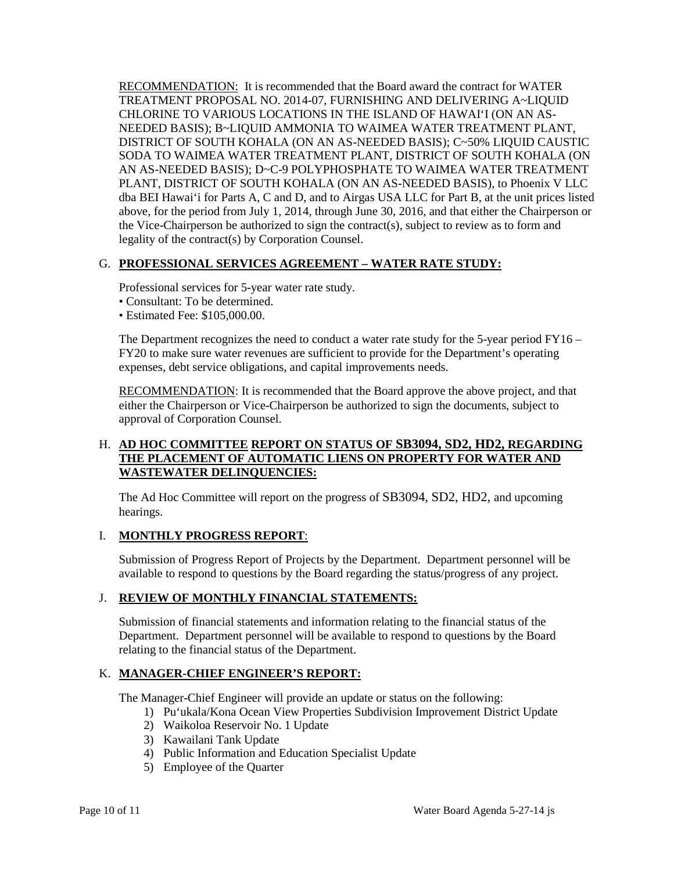RECOMMENDATION: It is recommended that the Board award the contract for WATER TREATMENT PROPOSAL NO. 2014-07, FURNISHING AND DELIVERING A~LIQUID CHLORINE TO VARIOUS LOCATIONS IN THE ISLAND OF HAWAI'I (ON AN AS-NEEDED BASIS); B~LIQUID AMMONIA TO WAIMEA WATER TREATMENT PLANT, DISTRICT OF SOUTH KOHALA (ON AN AS-NEEDED BASIS); C~50% LIQUID CAUSTIC SODA TO WAIMEA WATER TREATMENT PLANT, DISTRICT OF SOUTH KOHALA (ON AN AS-NEEDED BASIS); D~C-9 POLYPHOSPHATE TO WAIMEA WATER TREATMENT PLANT, DISTRICT OF SOUTH KOHALA (ON AN AS-NEEDED BASIS), to Phoenix V LLC dba BEI Hawai'i for Parts A, C and D, and to Airgas USA LLC for Part B, at the unit prices listed above, for the period from July 1, 2014, through June 30, 2016, and that either the Chairperson or the Vice-Chairperson be authorized to sign the contract(s), subject to review as to form and legality of the contract(s) by Corporation Counsel.

# G. **PROFESSIONAL SERVICES AGREEMENT – WATER RATE STUDY:**

Professional services for 5-year water rate study.

- Consultant: To be determined.
- Estimated Fee: \$105,000.00.

The Department recognizes the need to conduct a water rate study for the 5-year period FY16 – FY20 to make sure water revenues are sufficient to provide for the Department's operating expenses, debt service obligations, and capital improvements needs.

RECOMMENDATION: It is recommended that the Board approve the above project, and that either the Chairperson or Vice-Chairperson be authorized to sign the documents, subject to approval of Corporation Counsel.

## H. **AD HOC COMMITTEE REPORT ON STATUS OF SB3094, SD2, HD2, REGARDING THE PLACEMENT OF AUTOMATIC LIENS ON PROPERTY FOR WATER AND WASTEWATER DELINQUENCIES:**

The Ad Hoc Committee will report on the progress of SB3094, SD2, HD2, and upcoming hearings.

## I. **MONTHLY PROGRESS REPORT**:

Submission of Progress Report of Projects by the Department. Department personnel will be available to respond to questions by the Board regarding the status/progress of any project.

#### J. **REVIEW OF MONTHLY FINANCIAL STATEMENTS:**

Submission of financial statements and information relating to the financial status of the Department. Department personnel will be available to respond to questions by the Board relating to the financial status of the Department.

## K. **MANAGER-CHIEF ENGINEER'S REPORT:**

The Manager-Chief Engineer will provide an update or status on the following:

- 1) Pu'ukala/Kona Ocean View Properties Subdivision Improvement District Update
- 2) Waikoloa Reservoir No. 1 Update
- 3) Kawailani Tank Update
- 4) Public Information and Education Specialist Update
- 5) Employee of the Quarter